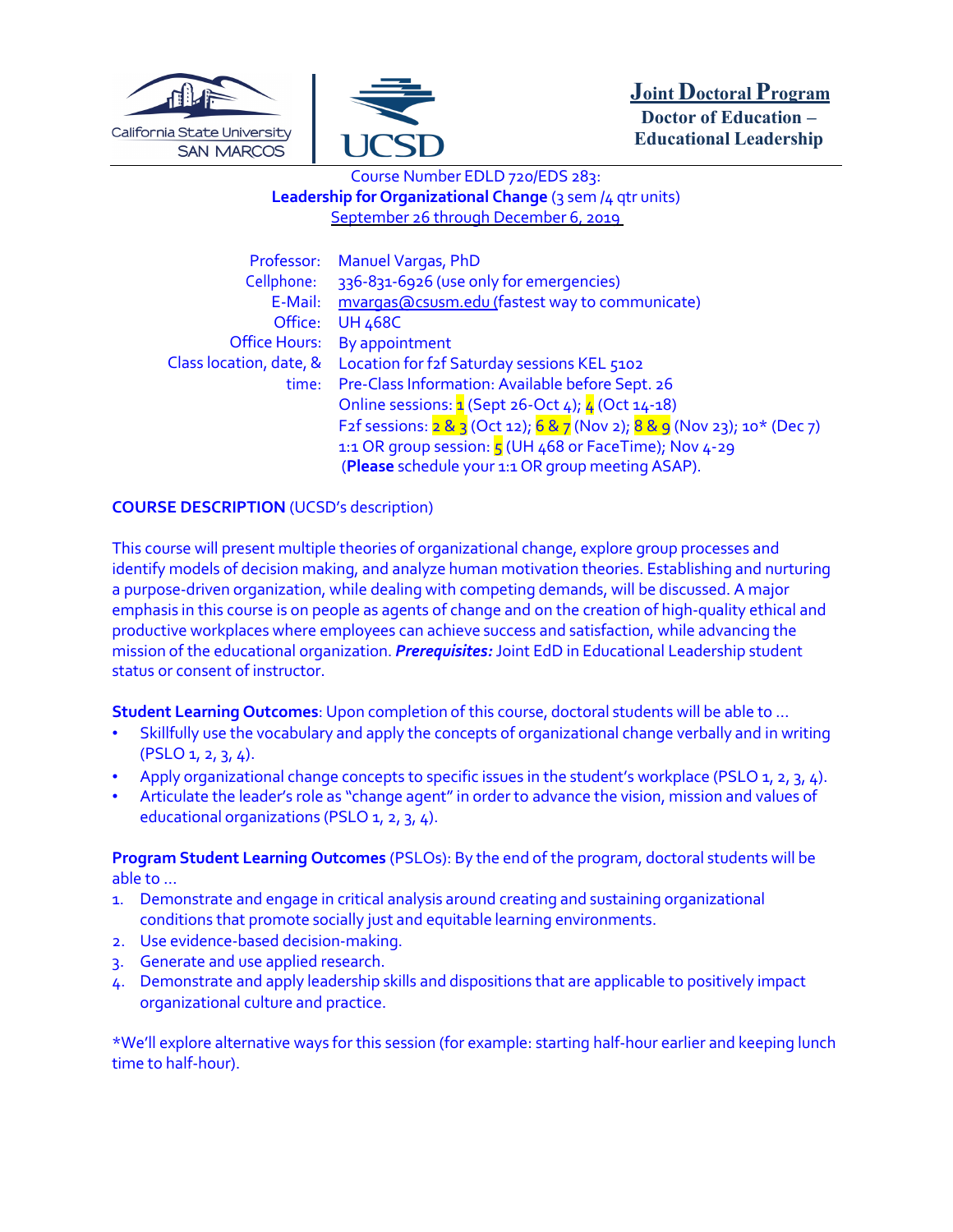



# Course Number EDLD 720/EDS 283: **Leadership for Organizational Change** (3 sem /4 gtr units) September 26 through December 6, 2019

| Professor:              | <b>Manuel Vargas, PhD</b>                                                |  |
|-------------------------|--------------------------------------------------------------------------|--|
| Cellphone:              | 336-831-6926 (use only for emergencies)                                  |  |
| E-Mail:                 | mvargas@csusm.edu (fastest way to communicate)                           |  |
| Office:                 | <b>UH 468C</b>                                                           |  |
| <b>Office Hours:</b>    | By appointment                                                           |  |
| Class location, date, & | Location for f2f Saturday sessions KEL 5102                              |  |
| time:                   | Pre-Class Information: Available before Sept. 26                         |  |
|                         | Online sessions: 1 (Sept 26-Oct 4); 4 (Oct 14-18)                        |  |
|                         | F2f sessions: 2 & 3 (Oct 12); 6 & 7 (Nov 2); 8 & 9 (Nov 23); 10* (Dec 7) |  |
|                         | 1:1 OR group session: $\frac{1}{5}$ (UH 468 or FaceTime); Nov 4-29       |  |
|                         | (Please schedule your 1:1 OR group meeting ASAP).                        |  |

# **COURSE DESCRIPTION** (UCSD's description)

This course will present multiple theories of organizational change, explore group processes and identify models of decision making, and analyze human motivation theories. Establishing and nurturing a purpose-driven organization, while dealing with competing demands, will be discussed. A major emphasis in this course is on people as agents of change and on the creation of high-quality ethical and productive workplaces where employees can achieve success and satisfaction, while advancing the mission of the educational organization. *Prerequisites:* Joint EdD in Educational Leadership student status or consent of instructor.

**Student Learning Outcomes**: Upon completion of this course, doctoral students will be able to …

- Skillfully use the vocabulary and apply the concepts of organizational change verbally and in writing  $(PSLO 1, 2, 3, 4).$
- Apply organizational change concepts to specific issues in the student's workplace (PSLO 1, 2, 3, 4).
- Articulate the leader's role as "change agent"in order to advance the vision, mission and values of educational organizations (PSLO 1, 2, 3, 4).

**Program Student Learning Outcomes** (PSLOs): By the end of the program, doctoral students will be able to …

- 1. Demonstrate and engage in critical analysis around creating and sustaining organizational conditions that promote socially just and equitable learning environments.
- 2. Use evidence-based decision-making.
- 3. Generate and use applied research.
- 4. Demonstrate and apply leadership skills and dispositions that are applicable to positively impact organizational culture and practice.

\*We'll explore alternative ways for this session (for example: starting half-hour earlier and keeping lunch time to half-hour).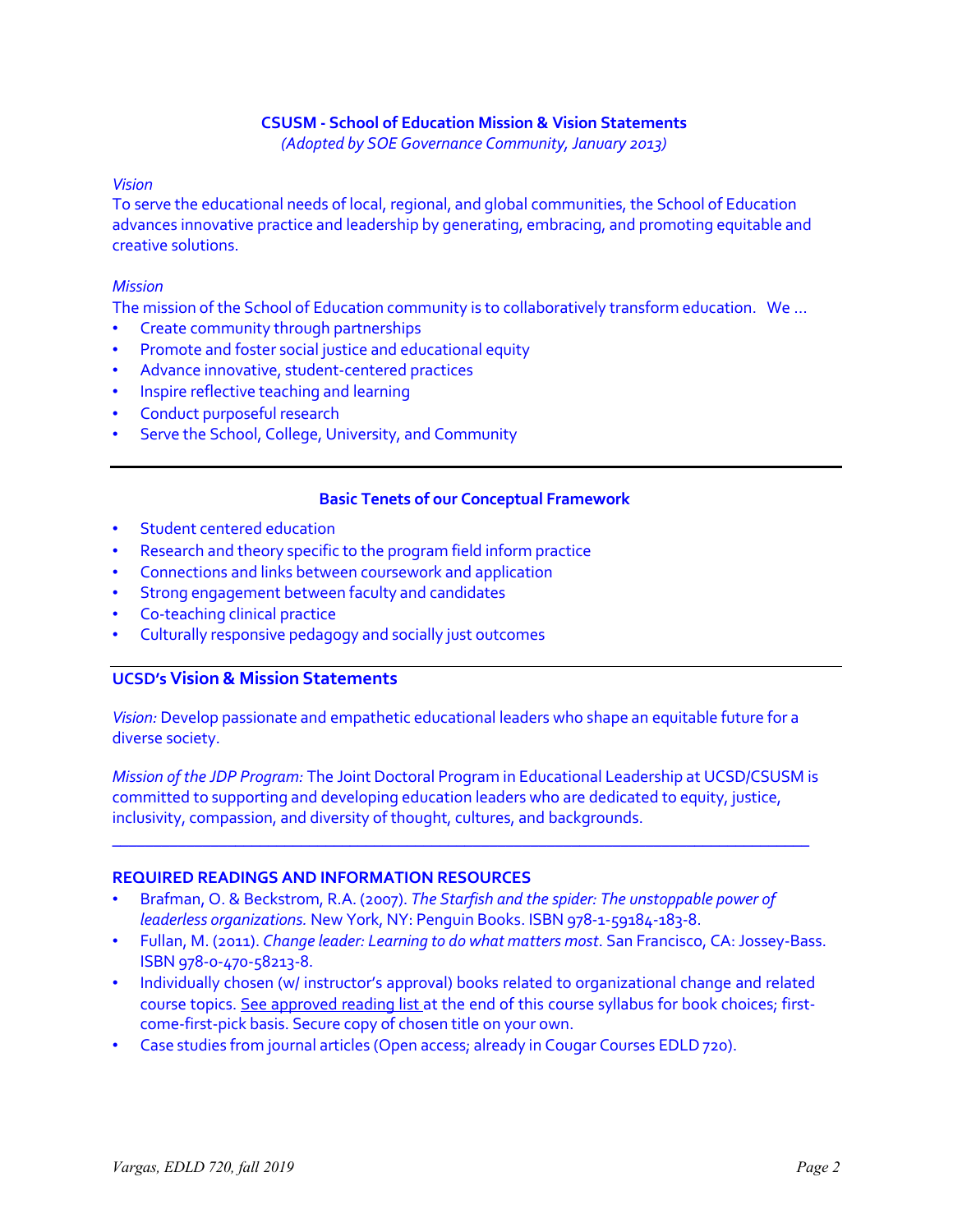## **CSUSM - School of Education Mission & Vision Statements**

*(Adopted by SOE Governance Community,January 2013)*

#### *Vision*

To serve the educational needs of local, regional, and global communities, the School of Education advances innovative practice and leadership by generating, embracing, and promoting equitable and creative solutions.

## *Mission*

The mission of the School of Education community is to collaboratively transform education. We …

- Create community through partnerships
- Promote and foster social justice and educational equity
- Advance innovative, student-centered practices
- Inspire reflective teaching and learning
- Conduct purposeful research
- Serve the School, College, University, and Community

## **Basic Tenets of our Conceptual Framework**

- Student centered education
- Research and theory specific to the program field inform practice
- Connections and links between coursework and application
- Strong engagement between faculty and candidates
- Co-teaching clinical practice
- Culturally responsive pedagogy and socially just outcomes

# **UCSD's Vision& Mission Statements**

*Vision:* Develop passionate and empathetic educational leaders who shape an equitable future for a diverse society.

*Mission of the JDP Program:* The Joint Doctoral Program in Educational Leadership at UCSD/CSUSM is committed to supporting and developing education leaders who are dedicated to equity, justice, inclusivity, compassion, and diversity of thought, cultures, and backgrounds.

 $\_$  , and the set of the set of the set of the set of the set of the set of the set of the set of the set of the set of the set of the set of the set of the set of the set of the set of the set of the set of the set of th

## **REQUIRED READINGS AND INFORMATION RESOURCES**

- Brafman, O. & Beckstrom, R.A. (2007). *The Starfish and the spider: The unstoppable power of leaderless organizations.* New York, NY: Penguin Books. ISBN 978-1-59184-183-8.
- Fullan, M. (2011). *Change leader: Learning to do what matters most*. San Francisco, CA:Jossey-Bass. ISBN 978-0-470-58213-8.
- Individually chosen (w/ instructor's approval) books related to organizational change and related course topics. See approved reading list at the end of this course syllabus for book choices; firstcome-first-pick basis. Secure copy of chosen title on your own.
- Case studies from journal articles (Open access; already in Cougar Courses EDLD 720).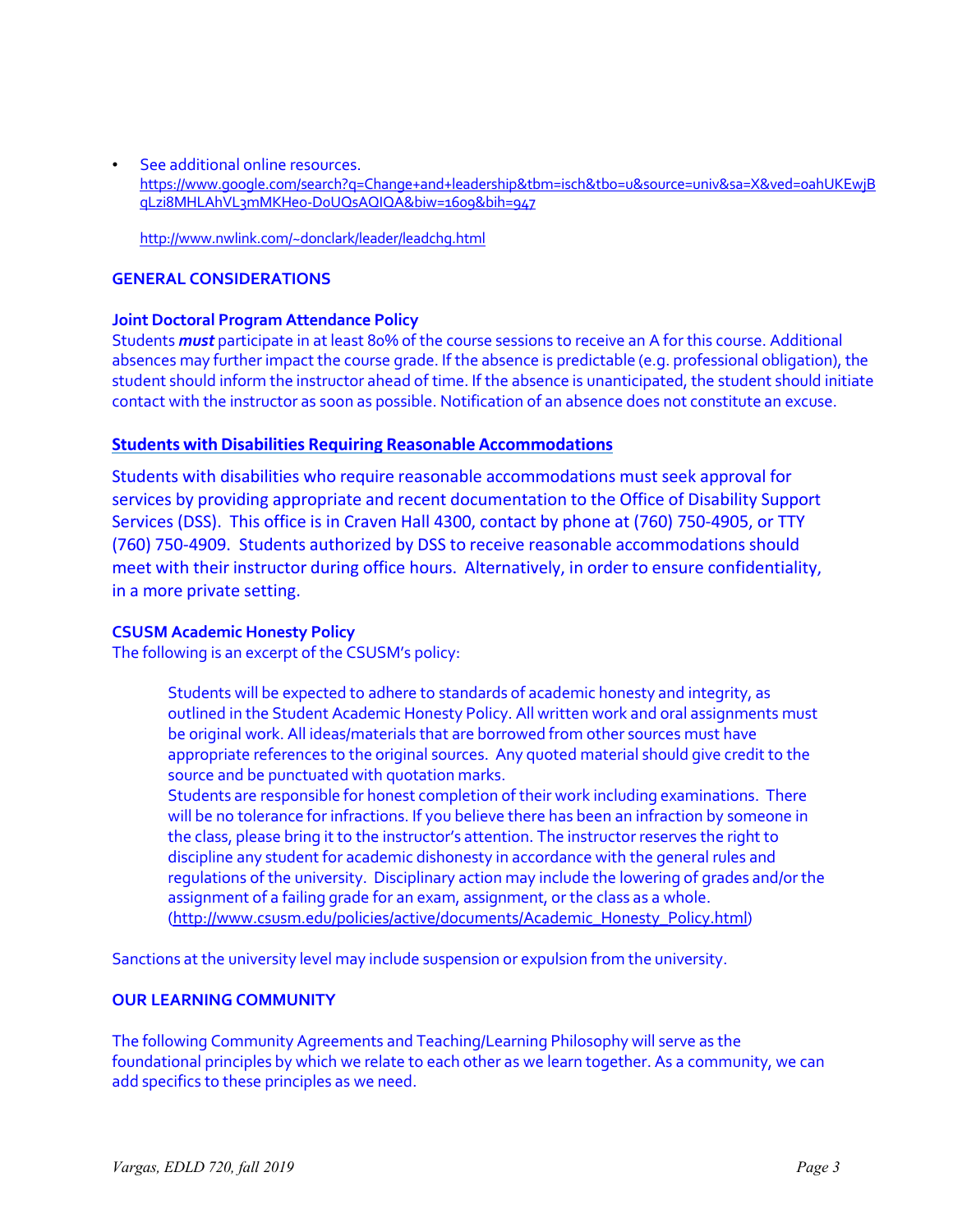• See additional online resources. https://www.google.com/search?q=Change+and+leadership&tbm=isch&tbo=u&source=univ&sa=X&ved=0ahUKEwjB qLzi8MHLAhVL3mMKHeo-D0UQsAQIQA&biw=1609&bih=947

http://www.nwlink.com/~donclark/leader/leadchg.html

#### **GENERAL CONSIDERATIONS**

#### **Joint Doctoral Program Attendance Policy**

Students *must* participate in at least 80% of the course sessions to receive an A for this course. Additional absences may further impact the course grade. If the absence is predictable (e.g. professional obligation), the student should inform the instructor ahead of time. If the absence is unanticipated, the student should initiate contact with the instructor as soon as possible. Notification of an absence does not constitute an excuse.

## **Students with Disabilities Requiring Reasonable Accommodations**

Students with disabilities who require reasonable accommodations must seek approval for services by providing appropriate and recent documentation to the Office of Disability Support Services (DSS). This office is in Craven Hall 4300, contact by phone at (760) 750-4905, or TTY (760) 750-4909. Students authorized by DSS to receive reasonable accommodations should meet with their instructor during office hours. Alternatively, in order to ensure confidentiality, in a more private setting.

## **CSUSM Academic Honesty Policy**

The following is an excerpt of the CSUSM's policy:

Students will be expected to adhere to standards of academic honesty and integrity, as outlined in the Student Academic Honesty Policy. All written work and oral assignments must be original work. All ideas/materials that are borrowed from other sources must have appropriate references to the original sources. Any quoted material should give credit to the source and be punctuated with quotation marks.

Students are responsible for honest completion of their work including examinations. There will be no tolerance for infractions. If you believe there has been an infraction by someone in the class, please bring it to the instructor's attention. The instructor reserves the right to discipline any student for academic dishonesty in accordance with the general rules and regulations of the university. Disciplinary action may include the lowering of grades and/or the assignment of a failing grade for an exam, assignment, or the class as a whole. (http://www.csusm.edu/policies/active/documents/Academic\_Honesty\_Policy.html)

Sanctions at the university level may include suspension or expulsion from the university.

## **OUR LEARNING COMMUNITY**

The following Community Agreements and Teaching/Learning Philosophy will serve as the foundational principles by which we relate to each other as we learn together. As a community, we can add specifics to these principles as we need.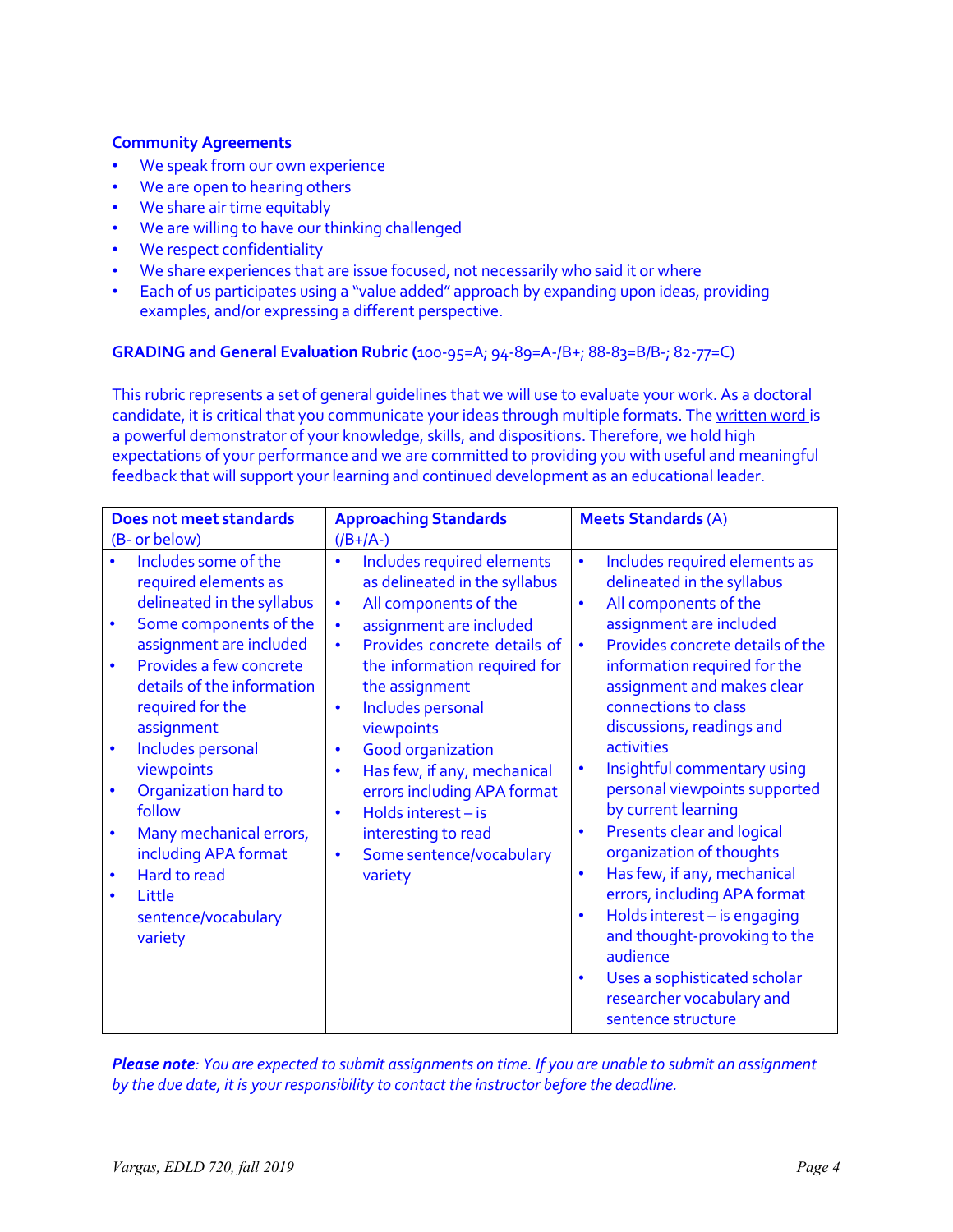## **Community Agreements**

- We speak from our own experience
- We are open to hearing others
- We share air time equitably
- We are willing to have our thinking challenged
- We respect confidentiality
- We share experiences that are issue focused, not necessarily who said it or where
- Each of us participates using a "value added" approach by expanding upon ideas, providing examples, and/or expressing a different perspective.

## **GRADING and General Evaluation Rubric (**100-95=A; 94-89=A-/B+; 88-83=B/B-; 82-77=C)

This rubric represents a set of general guidelines that we will use to evaluate your work. As a doctoral candidate, it is critical that you communicate your ideas through multiple formats. The written word is a powerful demonstrator of your knowledge, skills, and dispositions. Therefore, we hold high expectations of your performance and we are committed to providing you with useful and meaningful feedback that will support your learning and continued development as an educational leader.

| <b>Does not meet standards</b>                                                                                                                                                                                                                                                                                                                                                                                                                                                       | <b>Approaching Standards</b>                                                                                                                                                                                                                                                                                                                                                                                                                                                                                                             | <b>Meets Standards (A)</b>                                                                                                                                                                                                                                                                                                                                                                                                                                                                                                                                                                                                                                             |
|--------------------------------------------------------------------------------------------------------------------------------------------------------------------------------------------------------------------------------------------------------------------------------------------------------------------------------------------------------------------------------------------------------------------------------------------------------------------------------------|------------------------------------------------------------------------------------------------------------------------------------------------------------------------------------------------------------------------------------------------------------------------------------------------------------------------------------------------------------------------------------------------------------------------------------------------------------------------------------------------------------------------------------------|------------------------------------------------------------------------------------------------------------------------------------------------------------------------------------------------------------------------------------------------------------------------------------------------------------------------------------------------------------------------------------------------------------------------------------------------------------------------------------------------------------------------------------------------------------------------------------------------------------------------------------------------------------------------|
| (B- or below)                                                                                                                                                                                                                                                                                                                                                                                                                                                                        | $($ /B+/A-)                                                                                                                                                                                                                                                                                                                                                                                                                                                                                                                              |                                                                                                                                                                                                                                                                                                                                                                                                                                                                                                                                                                                                                                                                        |
| Includes some of the<br>required elements as<br>delineated in the syllabus<br>Some components of the<br>$\bullet$<br>assignment are included<br>Provides a few concrete<br>$\bullet$<br>details of the information<br>required for the<br>assignment<br>Includes personal<br>$\bullet$<br>viewpoints<br>Organization hard to<br>$\bullet$<br>follow<br>Many mechanical errors,<br>$\bullet$<br>including APA format<br>Hard to read<br>٠<br>Little<br>sentence/vocabulary<br>variety | Includes required elements<br>$\bullet$<br>as delineated in the syllabus<br>All components of the<br>$\bullet$<br>assignment are included<br>$\bullet$<br>Provides concrete details of<br>$\bullet$<br>the information required for<br>the assignment<br>Includes personal<br>$\bullet$<br>viewpoints<br><b>Good organization</b><br>$\bullet$<br>Has few, if any, mechanical<br>$\bullet$<br>errors including APA format<br>Holds interest - is<br>$\bullet$<br>interesting to read<br>Some sentence/vocabulary<br>$\bullet$<br>variety | Includes required elements as<br>$\bullet$<br>delineated in the syllabus<br>All components of the<br>$\bullet$<br>assignment are included<br>Provides concrete details of the<br>$\bullet$<br>information required for the<br>assignment and makes clear<br>connections to class<br>discussions, readings and<br><b>activities</b><br>Insightful commentary using<br>$\bullet$<br>personal viewpoints supported<br>by current learning<br>Presents clear and logical<br>$\bullet$<br>organization of thoughts<br>Has few, if any, mechanical<br>$\bullet$<br>errors, including APA format<br>Holds interest - is engaging<br>$\bullet$<br>and thought-provoking to the |
|                                                                                                                                                                                                                                                                                                                                                                                                                                                                                      |                                                                                                                                                                                                                                                                                                                                                                                                                                                                                                                                          | audience<br>Uses a sophisticated scholar<br>$\bullet$<br>researcher vocabulary and<br>sentence structure                                                                                                                                                                                                                                                                                                                                                                                                                                                                                                                                                               |

*Please note: You are expected to submit assignments on time. If you are unable to submit an assignment by the due date, it is your responsibility to contact the instructor before the deadline.*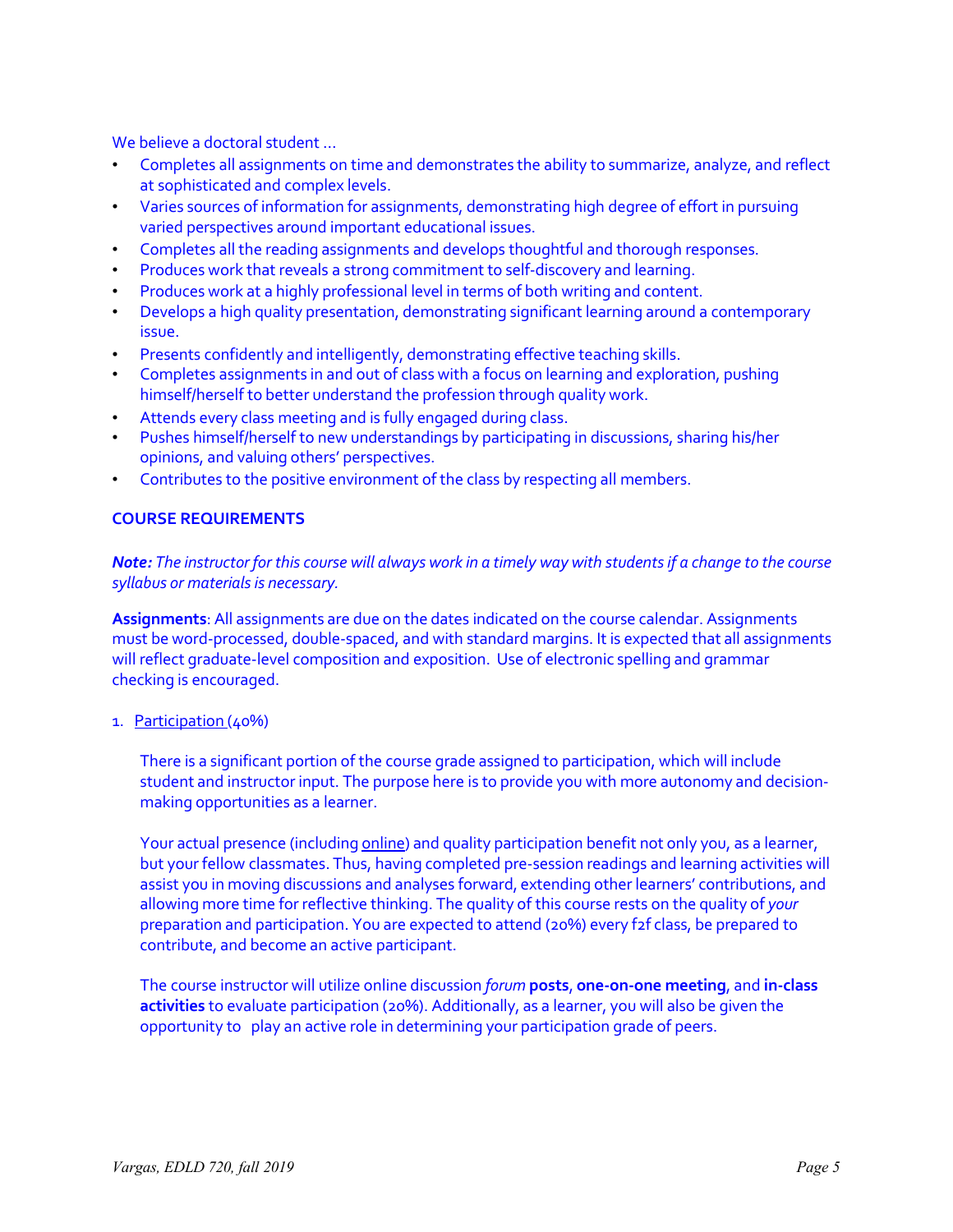We believe a doctoral student …

- Completes all assignments on time and demonstrates the ability to summarize, analyze, and reflect at sophisticated and complex levels.
- Varies sources of information for assignments, demonstrating high degree of effort in pursuing varied perspectives around important educational issues.
- Completes all the reading assignments and develops thoughtful and thorough responses.
- Produces work that reveals a strong commitment to self-discovery and learning.
- Produces work at a highly professional level in terms of both writing and content.
- Develops a high quality presentation, demonstrating significant learning around a contemporary issue.
- Presents confidently and intelligently, demonstrating effective teaching skills.
- Completes assignments in and out of class with a focus on learning and exploration, pushing himself/herself to better understand the profession through quality work.
- Attends every class meeting and is fully engaged during class.
- Pushes himself/herself to new understandings by participating in discussions, sharing his/her opinions, and valuing others' perspectives.
- Contributes to the positive environment of the class by respecting all members.

#### **COURSE REQUIREMENTS**

Note: The instructor for this course will always work in a timely way with students if a change to the course *syllabus or materialsis necessary.*

**Assignments**: All assignments are due on the dates indicated on the course calendar. Assignments must be word-processed, double-spaced, and with standard margins. It is expected that all assignments will reflect graduate-level composition and exposition. Use of electronic spelling and grammar checking is encouraged.

#### 1. Participation (40%)

There is a significant portion of the course grade assigned to participation, which will include student and instructor input. The purpose here is to provide you with more autonomy and decisionmaking opportunities as a learner.

Your actual presence (including online) and quality participation benefit not only you, as a learner, but your fellow classmates. Thus, having completed pre-session readings and learning activities will assist you in moving discussions and analyses forward, extending other learners' contributions, and allowing more time for reflective thinking. The quality of this course rests on the quality of *your* preparation and participation. You are expected to attend (20%) every f2f class, be prepared to contribute, and become an active participant.

The course instructor will utilize online discussion *forum* **posts**, **one-on-one meeting**, and **in-class activities** to evaluate participation (20%). Additionally, as a learner, you will also be given the opportunity to play an active role in determining your participation grade of peers.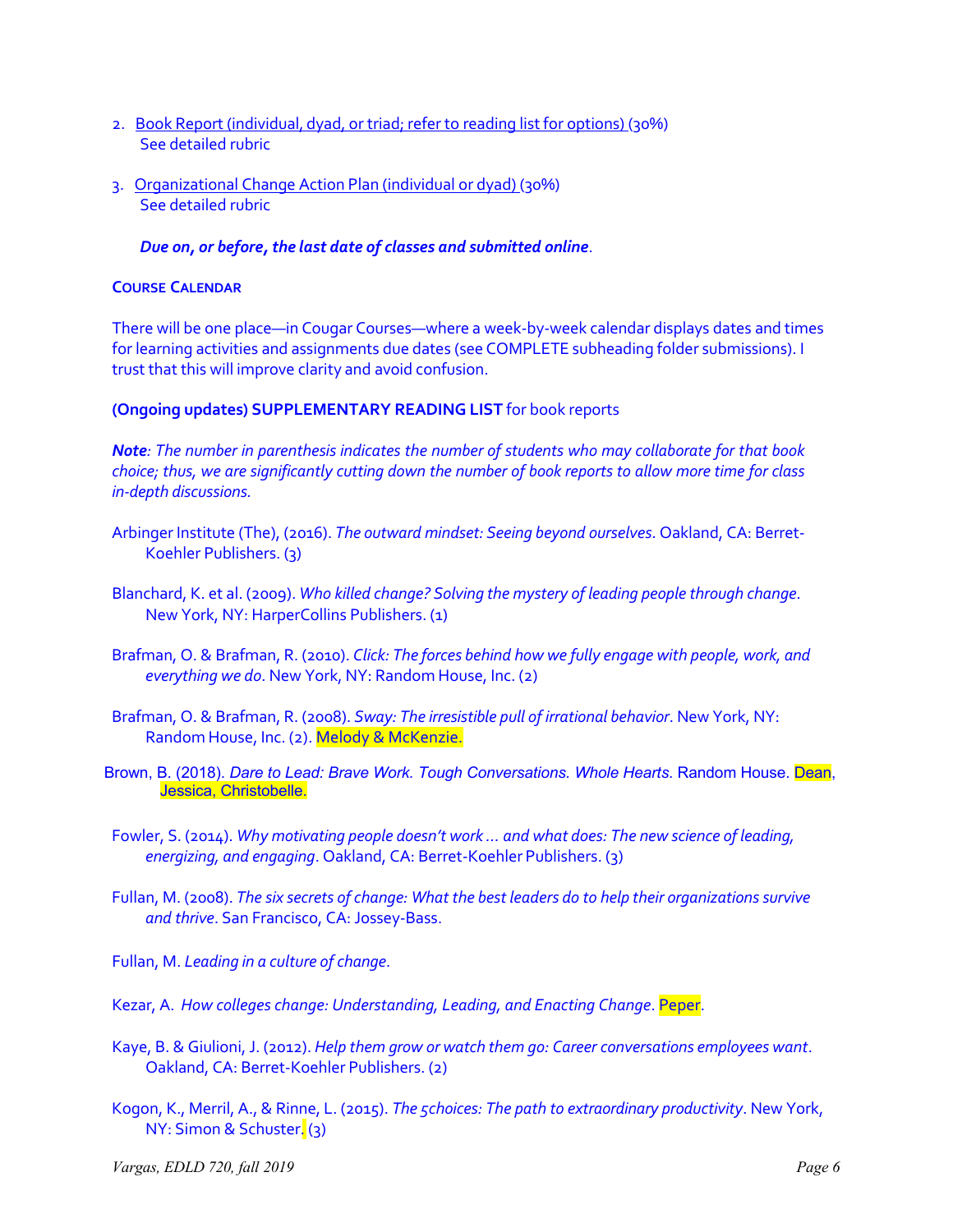- 2. Book Report (individual, dyad, or triad; refer to reading listfor options) (30%) See detailed rubric
- 3. Organizational Change Action Plan (individual or dyad) (30%) See detailed rubric

## *Due on, or before, the last date of classes and submitted online*.

## **COURSE CALENDAR**

There will be one place—in Cougar Courses—where a week-by-week calendar displays dates and times for learning activities and assignments due dates (see COMPLETE subheading folder submissions). I trust that this will improve clarity and avoid confusion.

**(Ongoing updates) SUPPLEMENTARY READING LIST** for book reports

*Note: The number in parenthesis indicates the number of students who may collaborate for that book choice; thus, we are significantly cutting down the number of book reports to allow more time for class in-depth discussions.*

- Arbinger Institute (The), (2016). *The outward mindset: Seeing beyond ourselves*. Oakland, CA: Berret-Koehler Publishers. (3)
- Blanchard, K. et al. (2009). *Who killed change? Solving the mystery of leading people through change*. New York, NY: HarperCollins Publishers. (1)
- Brafman, O. & Brafman, R. (2010). *Click: The forces behind how we fully engage with people, work, and everything we do*. New York, NY: Random House, Inc. (2)
- Brafman, O. & Brafman, R. (2008). *Sway: The irresistible pull of irrational behavior*. New York, NY: Random House, Inc. (2). Melody & McKenzie.
- Brown, B. (2018). *Dare to Lead: Brave Work. Tough Conversations. Whole Hearts*. Random House. Dean, Jessica, Christobelle.

Fowler, S. (2014). *Why motivating people doesn't work … and what does: The new science of leading, energizing, and engaging*. Oakland, CA: Berret-Koehler Publishers. (3)

Fullan, M. (2008). *The six secrets of change: What the best leaders do to help their organizationssurvive and thrive*. San Francisco, CA:Jossey-Bass.

Fullan, M. *Leading in a culture of change*.

- Kezar, A. *How colleges change: Understanding, Leading, and Enacting Change*. Peper.
- Kaye, B. & Giulioni,J. (2012). *Help them grow or watch them go: Career conversations employees want*. Oakland, CA: Berret-Koehler Publishers. (2)
- Kogon, K., Merril, A., & Rinne, L. (2015). *The 5choices: The path to extraordinary productivity*. New York, NY: Simon & Schuster. (3)

*Vargas, EDLD 720, fall 2019 Page 6*